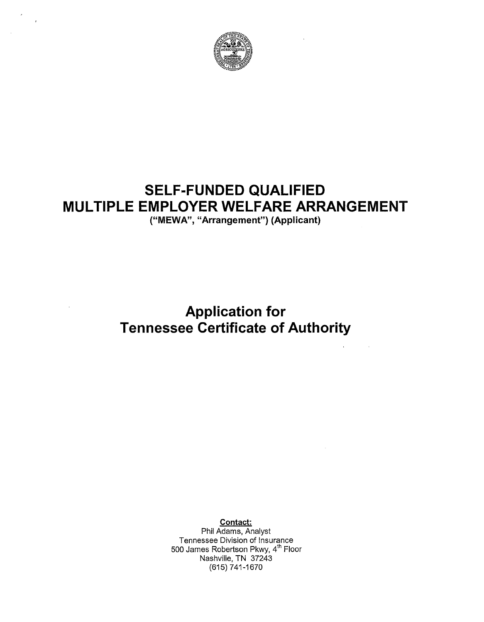

# **SELF-FUNDED QUALIFIED MULTIPLE EMPLOYER WELFARE ARRANGEMENT**

("MEWA", "Arrangement") (Applicant)

**Application for Tennessee Certificate of Authority** 

Contact:

Phil Adams, Analyst Tennessee Division of Insurance 500 James Robertson Pkwy, 4th Floor Nashville, TN 37243 {615) 741-1670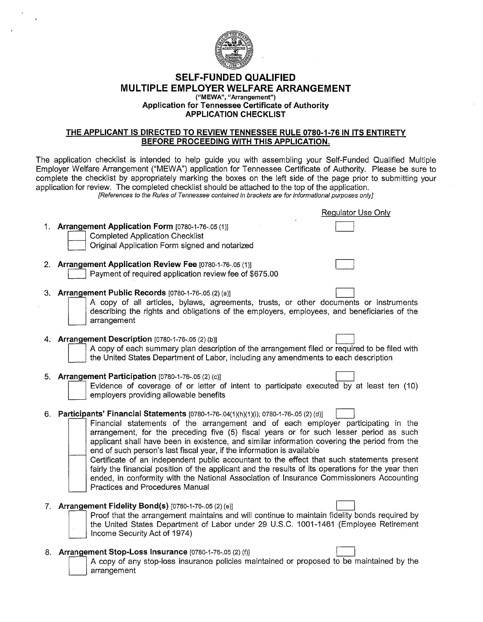

#### **SELF-FUNDED QUALIFIED MULTIPLE EMPLOYER WELFARE ARRANGEMENT ("MEWA", "Arrangement") Application for Tennessee Certificate of Authority APPLICATION CHECKLIST**

### **THE APPLICANT IS DIRECTED TO REVIEW TENNESSEE RULE 0780-1-76 IN ITS ENTIRETY BEFORE PROCEEDING WITH THIS APPLICATION.**

The application checklist is intended to help guide you with assembling your Self-Funded Qualified Multiple Employer Welfare Arrangement ("MEWA") application for Tennessee Certificate of Authority. Please be sure to complete the checklist by appropriately marking the boxes on the left side of the page prior to submitting your application for review. The completed checklist should be attached to the top of the application. [References to the Rules of Tennessee contained in brackets are for informational purposes only]

1. **Arrangement Application Form** [0780-1-76-.05 (1)] Completed Application Checklist<br>Original Application Form signed and notarized 2. **Arrangement Application Review Fee** [0780-1-76-.05 (1)]<br>Payment of required application review fee of \$675.00 Regulator Use Only  $\Box$ **3. Arrangement Public Records** [0780-1-76-.05 (2) (a)] A copy of all articles, bylaws, agreements, trusts, or other documents or instruments describing the rights and obligations of the employers, employees, and beneficiaries of the arrangement 4. **Arrangement Description** [0780-1-76-.05 (2) (b)] A copy of each summary plan description of the arrangement filed or required to be filed with the United States Department of Labor, including any amendments to each description 5. **Arrangement Participation** [0780-1-76-.05 (2) (c)] Evidence of coverage of or letter of intent to participate executed by at least ten (10) employers providing allowable benefits 6. **Participants' Financial Statements** [0780-1-76-.04(1)(h)(1)(i); 0780-1-76-.05 (2) (d)] CJ Financial statements of the arrangement and of each employer participating in the arrangement, for the preceding five (5) fiscal years or for such lesser period as such applicant shall have been in existence, and similar information covering the period from the end of such person's last fiscal year, if the information is available Certificate of an independent public accountant to the effect that such statements present fairly the financial position of the applicant and the results of its operations for the year then ended, in conformity with the National Association of Insurance Commissioners Accounting Practices and Procedures Manual 7. **Arrangement Fidelity Bond(s)** [0780-1-76-.05 (2) (e)]<br>**Proof that the arrangement maintains and will continue to maintain fidelity bonds required by** Proof that the arrangement maintains and will continue to maintain fidelity bonds required by<br>the United States Department of Labor under 29 U.S.C. 1001-1461 (Employee Retirement<br>Income Security Act of 1974) the United States Department of Labor under 29 U.S.C. 1001-1461 (Employee Retirement Income Security Act of 1974)

- 8. **Arrangement Stop-Loss Insurance** [0780-1-76-.05 (2) (f)]
	- D A copy of any stop-loss insurance policies maintained or proposed to be maintained by the arrangement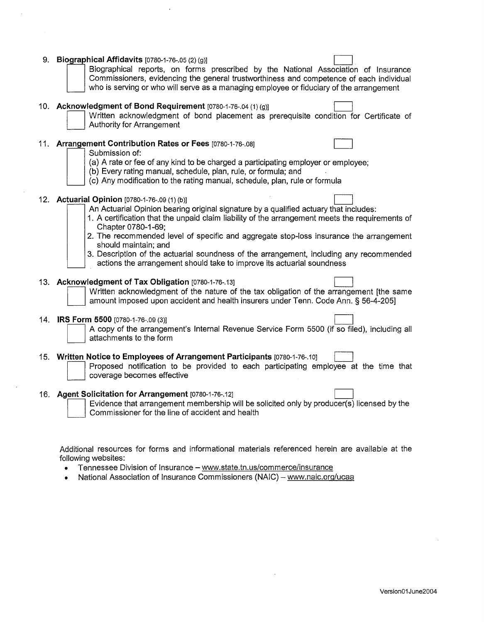|     | 9. Biographical Affidavits [0780-1-76-.05 (2) (g)]<br>Biographical reports, on forms prescribed by the National Association of Insurance<br>Commissioners, evidencing the general trustworthiness and competence of each individual<br>who is serving or who will serve as a managing employee or fiduciary of the arrangement                                                                                                                                                                                                                         |
|-----|--------------------------------------------------------------------------------------------------------------------------------------------------------------------------------------------------------------------------------------------------------------------------------------------------------------------------------------------------------------------------------------------------------------------------------------------------------------------------------------------------------------------------------------------------------|
|     | 10. Acknowledgment of Bond Requirement [0780-1-76-.04 (1) (g)]<br>Written acknowledgment of bond placement as prerequisite condition for Certificate of<br>Authority for Arrangement                                                                                                                                                                                                                                                                                                                                                                   |
|     | 11. Arrangement Contribution Rates or Fees [0780-1-76-.08]<br>Submission of:<br>(a) A rate or fee of any kind to be charged a participating employer or employee;<br>(b) Every rating manual, schedule, plan, rule, or formula; and<br>(c) Any modification to the rating manual, schedule, plan, rule or formula                                                                                                                                                                                                                                      |
|     | 12. Actuarial Opinion [0780-1-76-.09 (1) (b)]<br>An Actuarial Opinion bearing original signature by a qualified actuary that includes:<br>1. A certification that the unpaid claim liability of the arrangement meets the requirements of<br>Chapter 0780-1-69;<br>2. The recommended level of specific and aggregate stop-loss insurance the arrangement<br>should maintain; and<br>3. Description of the actuarial soundness of the arrangement, including any recommended<br>actions the arrangement should take to improve its actuarial soundness |
|     | 13. Acknowledgment of Tax Obligation [0780-1-76-.13]<br>Written acknowledgment of the nature of the tax obligation of the arrangement [the same<br>amount imposed upon accident and health insurers under Tenn. Code Ann. § 56-4-205]                                                                                                                                                                                                                                                                                                                  |
| 14. | IRS Form 5500 [0780-1-76-.09 (3)]<br>A copy of the arrangement's Internal Revenue Service Form 5500 (if so filed), including all<br>attachments to the form                                                                                                                                                                                                                                                                                                                                                                                            |
|     | 15. Written Notice to Employees of Arrangement Participants [0780-1-76-.10]<br>Proposed notification to be provided to each participating employee at the time that<br>coverage becomes effective                                                                                                                                                                                                                                                                                                                                                      |
|     | 16. Agent Solicitation for Arrangement [0780-1-76-.12]<br>Evidence that arrangement membership will be solicited only by producer(s) licensed by the<br>Commissioner for the line of accident and health                                                                                                                                                                                                                                                                                                                                               |
|     | Additional resources for forms and informational materials referenced herein are available at the<br>following websites:                                                                                                                                                                                                                                                                                                                                                                                                                               |

 $\ddot{\phantom{0}}$ 

 $\mathcal{L}_{\text{max}}$ 

 $\sim$ 

 $\sim$ 

- Tennessee Division of Insurance www.state.tn.us/commerce/insurance
- National Association of Insurance Commissioners (NAIC) www.naic.org/ucaa

 $\sim 10^{-10}$